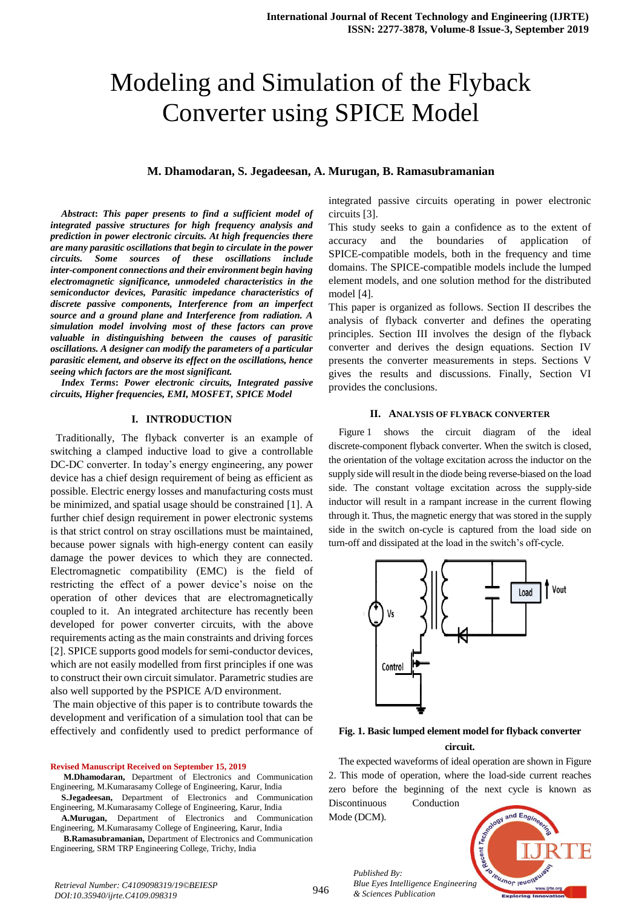# Modeling and Simulation of the Flyback Converter using SPICE Model

## **M. Dhamodaran, S. Jegadeesan, A. Murugan, B. Ramasubramanian**

*Abstract***:** *This paper presents to find a sufficient model of integrated passive structures for high frequency analysis and prediction in power electronic circuits. At high frequencies there are many parasitic oscillations that begin to circulate in the power circuits. Some sources of these oscillations include inter-component connections and their environment begin having electromagnetic significance, unmodeled characteristics in the semiconductor devices, Parasitic impedance characteristics of discrete passive components, Interference from an imperfect source and a ground plane and Interference from radiation. A simulation model involving most of these factors can prove valuable in distinguishing between the causes of parasitic oscillations. A designer can modify the parameters of a particular parasitic element, and observe its effect on the oscillations, hence seeing which factors are the most significant.* 

*Index Terms***:** *Power electronic circuits, Integrated passive circuits, Higher frequencies, EMI, MOSFET, SPICE Model*

## **I. INTRODUCTION**

 Traditionally, The flyback converter is an example of switching a clamped inductive load to give a controllable DC-DC converter. In today's energy engineering, any power device has a chief design requirement of being as efficient as possible. Electric energy losses and manufacturing costs must be minimized, and spatial usage should be constrained [1]. A further chief design requirement in power electronic systems is that strict control on stray oscillations must be maintained, because power signals with high-energy content can easily damage the power devices to which they are connected. Electromagnetic compatibility (EMC) is the field of restricting the effect of a power device's noise on the operation of other devices that are electromagnetically coupled to it. An integrated architecture has recently been developed for power converter circuits, with the above requirements acting as the main constraints and driving forces [2]. SPICE supports good models for semi-conductor devices, which are not easily modelled from first principles if one was to construct their own circuit simulator. Parametric studies are also well supported by the PSPICE A/D environment.

The main objective of this paper is to contribute towards the development and verification of a simulation tool that can be effectively and confidently used to predict performance of

#### **Revised Manuscript Received on September 15, 2019**

**M.Dhamodaran,** Department of Electronics and Communication Engineering, M.Kumarasamy College of Engineering, Karur, India

**S.Jegadeesan,** Department of Electronics and Communication Engineering, M.Kumarasamy College of Engineering, Karur, India

**A.Murugan,** Department of Electronics and Communication Engineering, M.Kumarasamy College of Engineering, Karur, India

**B.Ramasubramanian,** Department of Electronics and Communication Engineering, SRM TRP Engineering College, Trichy, India

integrated passive circuits operating in power electronic circuits [3].

This study seeks to gain a confidence as to the extent of accuracy and the boundaries of application of SPICE-compatible models, both in the frequency and time domains. The SPICE-compatible models include the lumped element models, and one solution method for the distributed model [4].

This paper is organized as follows. Section II describes the analysis of flyback converter and defines the operating principles. Section III involves the design of the flyback converter and derives the design equations. Section IV presents the converter measurements in steps. Sections V gives the results and discussions. Finally, Section VI provides the conclusions.

#### **II. ANALYSIS OF FLYBACK CONVERTER**

Figure 1 shows the circuit diagram of the ideal discrete-component flyback converter. When the switch is closed, the orientation of the voltage excitation across the inductor on the supply side will result in the diode being reverse-biased on the load side. The constant voltage excitation across the supply-side inductor will result in a rampant increase in the current flowing through it. Thus, the magnetic energy that was stored in the supply side in the switch on-cycle is captured from the load side on turn-off and dissipated at the load in the switch's off-cycle.



**Fig. 1. Basic lumped element model for flyback converter circuit.**

The expected waveforms of ideal operation are shown in Figure 2. This mode of operation, where the load-side current reaches zero before the beginning of the next cycle is known as Discontinuous Conduction

Mode (DCM).

*Published By:*

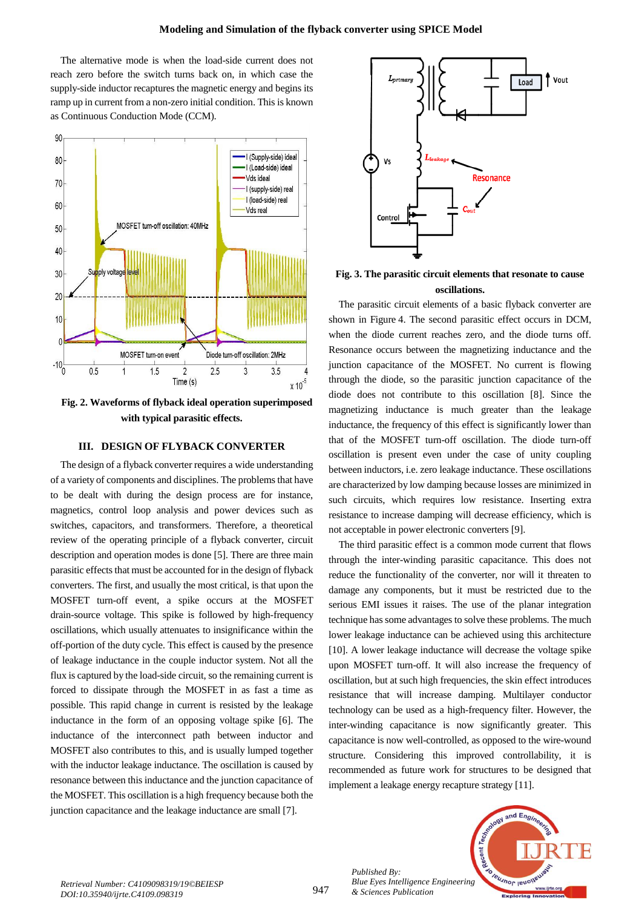The alternative mode is when the load-side current does not reach zero before the switch turns back on, in which case the supply-side inductor recaptures the magnetic energy and begins its ramp up in current from a non-zero initial condition. This is known as Continuous Conduction Mode (CCM).



**Fig. 2. Waveforms of flyback ideal operation superimposed with typical parasitic effects.**

## **III. DESIGN OF FLYBACK CONVERTER**

The design of a flyback converter requires a wide understanding of a variety of components and disciplines. The problems that have to be dealt with during the design process are for instance, magnetics, control loop analysis and power devices such as switches, capacitors, and transformers. Therefore, a theoretical review of the operating principle of a flyback converter, circuit description and operation modes is done [5]. There are three main parasitic effects that must be accounted for in the design of flyback converters. The first, and usually the most critical, is that upon the MOSFET turn-off event, a spike occurs at the MOSFET drain-source voltage. This spike is followed by high-frequency oscillations, which usually attenuates to insignificance within the off-portion of the duty cycle. This effect is caused by the presence of leakage inductance in the couple inductor system. Not all the flux is captured by the load-side circuit, so the remaining current is forced to dissipate through the MOSFET in as fast a time as possible. This rapid change in current is resisted by the leakage inductance in the form of an opposing voltage spike [6]. The inductance of the interconnect path between inductor and MOSFET also contributes to this, and is usually lumped together with the inductor leakage inductance. The oscillation is caused by resonance between this inductance and the junction capacitance of the MOSFET. This oscillation is a high frequency because both the junction capacitance and the leakage inductance are small [7].



**Fig. 3. The parasitic circuit elements that resonate to cause oscillations.**

The parasitic circuit elements of a basic flyback converter are shown in Figure 4. The second parasitic effect occurs in DCM, when the diode current reaches zero, and the diode turns off. Resonance occurs between the magnetizing inductance and the junction capacitance of the MOSFET. No current is flowing through the diode, so the parasitic junction capacitance of the diode does not contribute to this oscillation [8]. Since the magnetizing inductance is much greater than the leakage inductance, the frequency of this effect is significantly lower than that of the MOSFET turn-off oscillation. The diode turn-off oscillation is present even under the case of unity coupling between inductors, i.e. zero leakage inductance. These oscillations are characterized by low damping because losses are minimized in such circuits, which requires low resistance. Inserting extra resistance to increase damping will decrease efficiency, which is not acceptable in power electronic converters [9].

The third parasitic effect is a common mode current that flows through the inter-winding parasitic capacitance. This does not reduce the functionality of the converter, nor will it threaten to damage any components, but it must be restricted due to the serious EMI issues it raises. The use of the planar integration technique has some advantages to solve these problems. The much lower leakage inductance can be achieved using this architecture [10]. A lower leakage inductance will decrease the voltage spike upon MOSFET turn-off. It will also increase the frequency of oscillation, but at such high frequencies, the skin effect introduces resistance that will increase damping. Multilayer conductor technology can be used as a high-frequency filter. However, the inter-winding capacitance is now significantly greater. This capacitance is now well-controlled, as opposed to the wire-wound structure. Considering this improved controllability, it is recommended as future work for structures to be designed that implement a leakage energy recapture strategy [11].



*Published By:*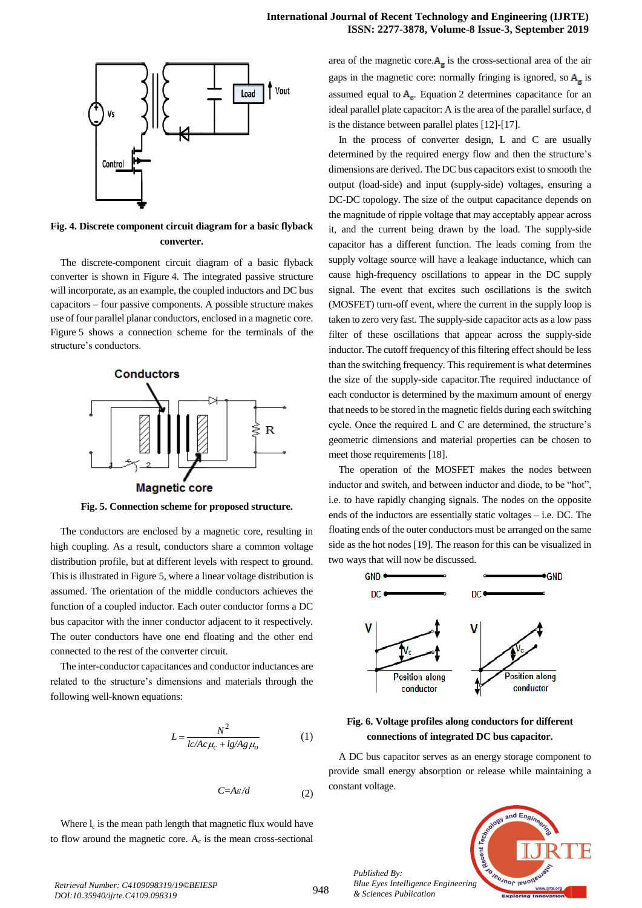

**Fig. 4. Discrete component circuit diagram for a basic flyback converter.**

The discrete-component circuit diagram of a basic flyback converter is shown in Figure 4. The integrated passive structure will incorporate, as an example, the coupled inductors and DC bus capacitors – four passive components. A possible structure makes use of four parallel planar conductors, enclosed in a magnetic core. Figure 5 shows a connection scheme for the terminals of the structure's conductors.



**Fig. 5. Connection scheme for proposed structure.**

The conductors are enclosed by a magnetic core, resulting in high coupling. As a result, conductors share a common voltage distribution profile, but at different levels with respect to ground. This is illustrated in Figure 5, where a linear voltage distribution is assumed. The orientation of the middle conductors achieves the function of a coupled inductor. Each outer conductor forms a DC bus capacitor with the inner conductor adjacent to it respectively. The outer conductors have one end floating and the other end connected to the rest of the converter circuit.

The inter-conductor capacitances and conductor inductances are related to the structure's dimensions and materials through the following well-known equations:

$$
L = \frac{N^2}{lc/Ac\mu_c + lg/Ag\mu_o}
$$
 (1)

$$
C \text{=} A \varepsilon / d
$$

Where  $l_c$  is the mean path length that magnetic flux would have to flow around the magnetic core.  $A_c$  is the mean cross-sectional

area of the magnetic core. $A_{\rm g}$  is the cross-sectional area of the air gaps in the magnetic core: normally fringing is ignored, so  $A_{\epsilon}$  is assumed equal to  $A_c$ . Equation 2 determines capacitance for an ideal parallel plate capacitor: A is the area of the parallel surface, d is the distance between parallel plates [12]-[17].

In the process of converter design, L and C are usually determined by the required energy flow and then the structure's dimensions are derived. The DC bus capacitors exist to smooth the output (load-side) and input (supply-side) voltages, ensuring a DC-DC topology. The size of the output capacitance depends on the magnitude of ripple voltage that may acceptably appear across it, and the current being drawn by the load. The supply-side capacitor has a different function. The leads coming from the supply voltage source will have a leakage inductance, which can cause high-frequency oscillations to appear in the DC supply signal. The event that excites such oscillations is the switch (MOSFET) turn-off event, where the current in the supply loop is taken to zero very fast. The supply-side capacitor acts as a low pass filter of these oscillations that appear across the supply-side inductor. The cutoff frequency of this filtering effect should be less than the switching frequency. This requirement is what determines the size of the supply-side capacitor.The required inductance of each conductor is determined by the maximum amount of energy that needs to be stored in the magnetic fields during each switching cycle. Once the required L and C are determined, the structure's geometric dimensions and material properties can be chosen to meet those requirements [18].

The operation of the MOSFET makes the nodes between inductor and switch, and between inductor and diode, to be "hot", i.e. to have rapidly changing signals. The nodes on the opposite ends of the inductors are essentially static voltages – i.e. DC. The floating ends of the outer conductors must be arranged on the same side as the hot nodes [19]. The reason for this can be visualized in two ways that will now be discussed.





A DC bus capacitor serves as an energy storage component to provide small energy absorption or release while maintaining a constant voltage.



(2)

*Published By:*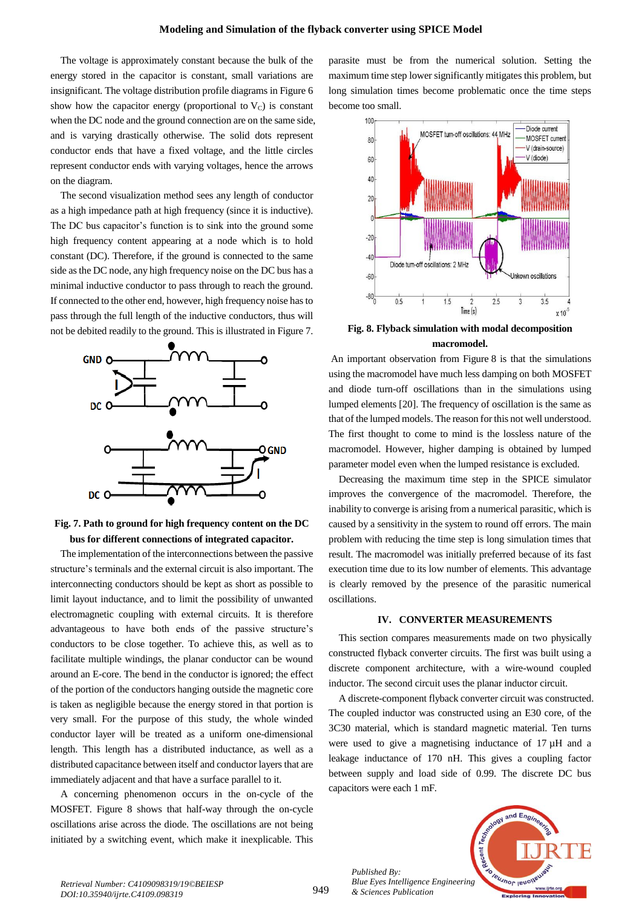The voltage is approximately constant because the bulk of the energy stored in the capacitor is constant, small variations are insignificant. The voltage distribution profile diagrams in Figure 6 show how the capacitor energy (proportional to  $V_c$ ) is constant when the DC node and the ground connection are on the same side, and is varying drastically otherwise. The solid dots represent conductor ends that have a fixed voltage, and the little circles represent conductor ends with varying voltages, hence the arrows on the diagram.

The second visualization method sees any length of conductor as a high impedance path at high frequency (since it is inductive). The DC bus capacitor's function is to sink into the ground some high frequency content appearing at a node which is to hold constant (DC). Therefore, if the ground is connected to the same side as the DC node, any high frequency noise on the DC bus has a minimal inductive conductor to pass through to reach the ground. If connected to the other end, however, high frequency noise has to pass through the full length of the inductive conductors, thus will not be debited readily to the ground. This is illustrated in Figure 7.



**Fig. 7. Path to ground for high frequency content on the DC bus for different connections of integrated capacitor.**

The implementation of the interconnections between the passive structure's terminals and the external circuit is also important. The interconnecting conductors should be kept as short as possible to limit layout inductance, and to limit the possibility of unwanted electromagnetic coupling with external circuits. It is therefore advantageous to have both ends of the passive structure's conductors to be close together. To achieve this, as well as to facilitate multiple windings, the planar conductor can be wound around an E-core. The bend in the conductor is ignored; the effect of the portion of the conductors hanging outside the magnetic core is taken as negligible because the energy stored in that portion is very small. For the purpose of this study, the whole winded conductor layer will be treated as a uniform one-dimensional length. This length has a distributed inductance, as well as a distributed capacitance between itself and conductor layers that are immediately adjacent and that have a surface parallel to it.

A concerning phenomenon occurs in the on-cycle of the MOSFET. Figure 8 shows that half-way through the on-cycle oscillations arise across the diode. The oscillations are not being initiated by a switching event, which make it inexplicable. This

parasite must be from the numerical solution. Setting the maximum time step lower significantly mitigates this problem, but long simulation times become problematic once the time steps become too small.



**Fig. 8. Flyback simulation with modal decomposition macromodel.**

An important observation from Figure 8 is that the simulations using the macromodel have much less damping on both MOSFET and diode turn-off oscillations than in the simulations using lumped elements [20]. The frequency of oscillation is the same as that of the lumped models. The reason for this not well understood. The first thought to come to mind is the lossless nature of the macromodel. However, higher damping is obtained by lumped parameter model even when the lumped resistance is excluded.

Decreasing the maximum time step in the SPICE simulator improves the convergence of the macromodel. Therefore, the inability to converge is arising from a numerical parasitic, which is caused by a sensitivity in the system to round off errors. The main problem with reducing the time step is long simulation times that result. The macromodel was initially preferred because of its fast execution time due to its low number of elements. This advantage is clearly removed by the presence of the parasitic numerical oscillations.

#### **IV. CONVERTER MEASUREMENTS**

This section compares measurements made on two physically constructed flyback converter circuits. The first was built using a discrete component architecture, with a wire-wound coupled inductor. The second circuit uses the planar inductor circuit.

A discrete-component flyback converter circuit was constructed. The coupled inductor was constructed using an E30 core, of the 3C30 material, which is standard magnetic material. Ten turns were used to give a magnetising inductance of 17 µH and a leakage inductance of 170 nH. This gives a coupling factor between supply and load side of 0.99. The discrete DC bus capacitors were each 1 mF.



*Published By:*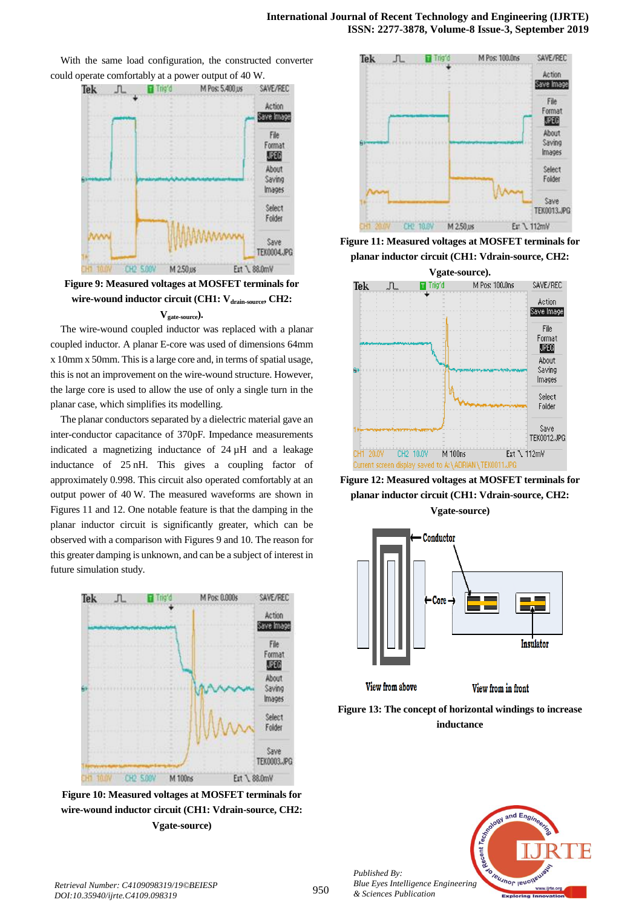

With the same load configuration, the constructed converter could operate comfortably at a power output of 40 W.

**Figure 9: Measured voltages at MOSFET terminals for wire-wound inductor circuit (CH1: Vdrain-source, CH2: Vgate-source).**

The wire-wound coupled inductor was replaced with a planar coupled inductor. A planar E-core was used of dimensions 64mm x 10mm x 50mm. This is a large core and, in terms of spatial usage, this is not an improvement on the wire-wound structure. However, the large core is used to allow the use of only a single turn in the planar case, which simplifies its modelling.

The planar conductors separated by a dielectric material gave an inter-conductor capacitance of 370pF. Impedance measurements indicated a magnetizing inductance of 24 µH and a leakage inductance of 25 nH. This gives a coupling factor of approximately 0.998. This circuit also operated comfortably at an output power of 40 W. The measured waveforms are shown in Figures 11 and 12. One notable feature is that the damping in the planar inductor circuit is significantly greater, which can be observed with a comparison with Figures 9 and 10. The reason for this greater damping is unknown, and can be a subject of interest in future simulation study.



**Figure 10: Measured voltages at MOSFET terminals for wire-wound inductor circuit (CH1: Vdrain-source, CH2: Vgate-source)**



**Figure 11: Measured voltages at MOSFET terminals for planar inductor circuit (CH1: Vdrain-source, CH2:** 



**Figure 12: Measured voltages at MOSFET terminals for planar inductor circuit (CH1: Vdrain-source, CH2: Vgate-source)**



**Figure 13: The concept of horizontal windings to increase inductance**



*Published By: Blue Eyes Intelligence Engineering & Sciences Publication*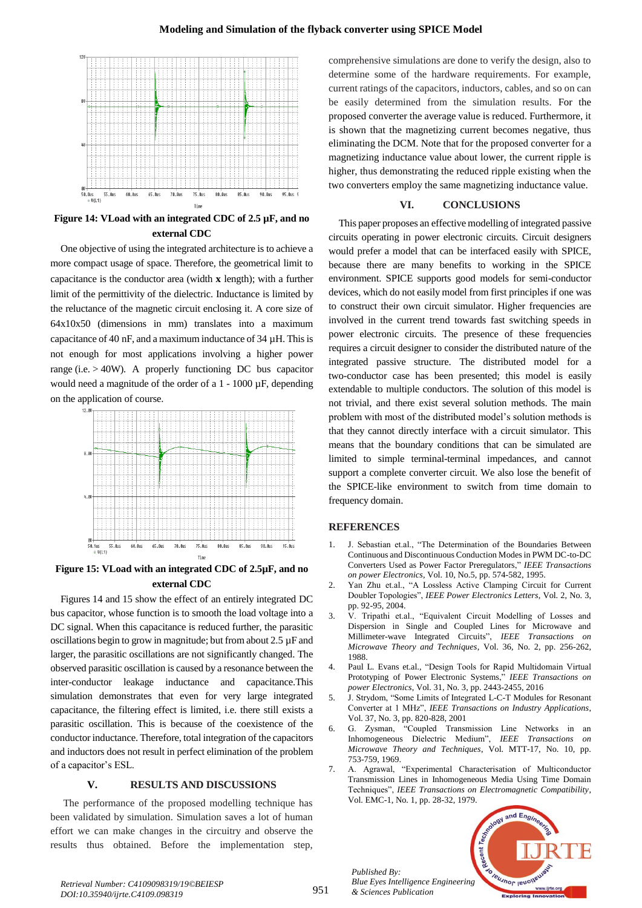

**Figure 14: VLoad with an integrated CDC of 2.5 µF, and no external CDC**

One objective of using the integrated architecture is to achieve a more compact usage of space. Therefore, the geometrical limit to capacitance is the conductor area (width **x** length); with a further limit of the permittivity of the dielectric. Inductance is limited by the reluctance of the magnetic circuit enclosing it. A core size of 64x10x50 (dimensions in mm) translates into a maximum capacitance of 40 nF, and a maximum inductance of 34 µH. This is not enough for most applications involving a higher power range (i.e. > 40W). A properly functioning DC bus capacitor would need a magnitude of the order of a 1 - 1000 µF, depending on the application of course.



**Figure 15: VLoad with an integrated CDC of 2.5µF, and no external CDC**

Figures 14 and 15 show the effect of an entirely integrated DC bus capacitor, whose function is to smooth the load voltage into a DC signal. When this capacitance is reduced further, the parasitic oscillations begin to grow in magnitude; but from about 2.5 µF and larger, the parasitic oscillations are not significantly changed. The observed parasitic oscillation is caused by a resonance between the inter-conductor leakage inductance and capacitance.This simulation demonstrates that even for very large integrated capacitance, the filtering effect is limited, i.e. there still exists a parasitic oscillation. This is because of the coexistence of the conductor inductance. Therefore, total integration of the capacitors and inductors does not result in perfect elimination of the problem of a capacitor's ESL.

## **V. RESULTS AND DISCUSSIONS**

The performance of the proposed modelling technique has been validated by simulation. Simulation saves a lot of human effort we can make changes in the circuitry and observe the results thus obtained. Before the implementation step, comprehensive simulations are done to verify the design, also to determine some of the hardware requirements. For example, current ratings of the capacitors, inductors, cables, and so on can be easily determined from the simulation results. For the proposed converter the average value is reduced. Furthermore, it is shown that the magnetizing current becomes negative, thus eliminating the DCM. Note that for the proposed converter for a magnetizing inductance value about lower, the current ripple is higher, thus demonstrating the reduced ripple existing when the two converters employ the same magnetizing inductance value.

## **VI. CONCLUSIONS**

This paper proposes an effective modelling of integrated passive circuits operating in power electronic circuits. Circuit designers would prefer a model that can be interfaced easily with SPICE, because there are many benefits to working in the SPICE environment. SPICE supports good models for semi-conductor devices, which do not easily model from first principles if one was to construct their own circuit simulator. Higher frequencies are involved in the current trend towards fast switching speeds in power electronic circuits. The presence of these frequencies requires a circuit designer to consider the distributed nature of the integrated passive structure. The distributed model for a two-conductor case has been presented; this model is easily extendable to multiple conductors. The solution of this model is not trivial, and there exist several solution methods. The main problem with most of the distributed model's solution methods is that they cannot directly interface with a circuit simulator. This means that the boundary conditions that can be simulated are limited to simple terminal-terminal impedances, and cannot support a complete converter circuit. We also lose the benefit of the SPICE-like environment to switch from time domain to frequency domain.

## **REFERENCES**

- 1. J. Sebastian et.al., "The Determination of the Boundaries Between Continuous and Discontinuous Conduction Modes in PWM DC-to-DC Converters Used as Power Factor Preregulators," *IEEE Transactions on power Electronics*, Vol. 10, No.5, pp. 574-582, 1995.
- 2. Yan Zhu et.al., "A Lossless Active Clamping Circuit for Current Doubler Topologies", *IEEE Power Electronics Letters*, Vol. 2, No. 3, pp. 92-95, 2004.
- 3. V. Tripathi et.al., "Equivalent Circuit Modelling of Losses and Dispersion in Single and Coupled Lines for Microwave and Millimeter-wave Integrated Circuits", *IEEE Transactions on Microwave Theory and Techniques*, Vol. 36, No. 2, pp. 256-262, 1988.
- 4. Paul L. Evans et.al., "Design Tools for Rapid Multidomain Virtual Prototyping of Power Electronic Systems," *IEEE Transactions on power Electronics*, Vol. 31, No. 3, pp. 2443-2455, 2016
- 5. J. Strydom, "Some Limits of Integrated L-C-T Modules for Resonant Converter at 1 MHz", *IEEE Transactions on Industry Applications*, Vol. 37, No. 3, pp. 820-828, 2001
- 6. G. Zysman, "Coupled Transmission Line Networks in an Inhomogeneous Dielectric Medium", *IEEE Transactions on Microwave Theory and Techniques*, Vol. MTT-17, No. 10, pp. 753-759, 1969.
- 7. A. Agrawal, "Experimental Characterisation of Multiconductor Transmission Lines in Inhomogeneous Media Using Time Domain Techniques", *IEEE Transactions on Electromagnetic Compatibility*, Vol. EMC-1, No. 1, pp. 28-32, 1979.



*Published By:*